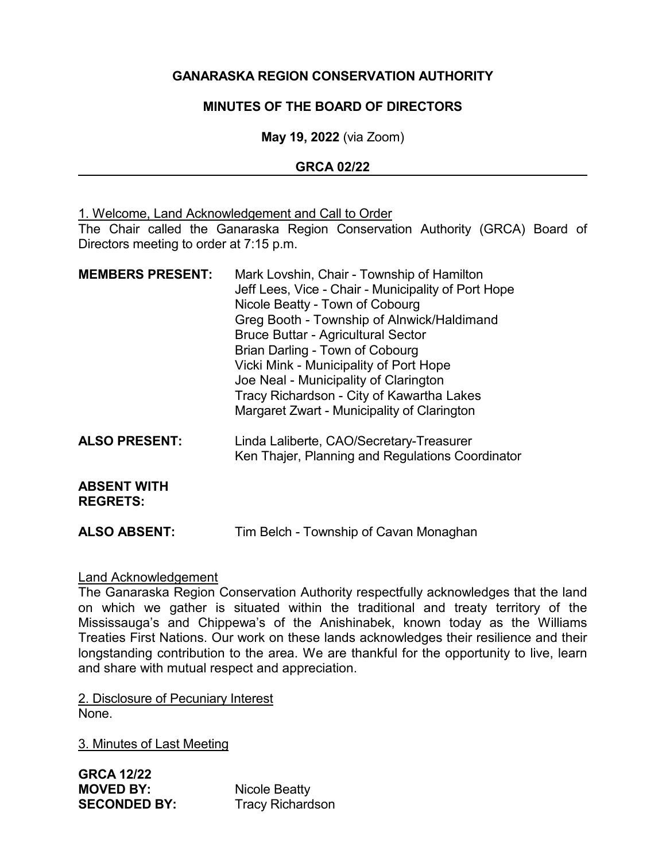## **GANARASKA REGION CONSERVATION AUTHORITY**

## **MINUTES OF THE BOARD OF DIRECTORS**

**May 19, 2022** (via Zoom)

## **GRCA 02/22**

1. Welcome, Land Acknowledgement and Call to Order The Chair called the Ganaraska Region Conservation Authority (GRCA) Board of Directors meeting to order at 7:15 p.m.

| <b>MEMBERS PRESENT:</b>               | Mark Lovshin, Chair - Township of Hamilton<br>Jeff Lees, Vice - Chair - Municipality of Port Hope<br>Nicole Beatty - Town of Cobourg<br>Greg Booth - Township of Alnwick/Haldimand<br><b>Bruce Buttar - Agricultural Sector</b><br>Brian Darling - Town of Cobourg<br>Vicki Mink - Municipality of Port Hope<br>Joe Neal - Municipality of Clarington<br>Tracy Richardson - City of Kawartha Lakes<br>Margaret Zwart - Municipality of Clarington |
|---------------------------------------|---------------------------------------------------------------------------------------------------------------------------------------------------------------------------------------------------------------------------------------------------------------------------------------------------------------------------------------------------------------------------------------------------------------------------------------------------|
| <b>ALSO PRESENT:</b>                  | Linda Laliberte, CAO/Secretary-Treasurer<br>Ken Thajer, Planning and Regulations Coordinator                                                                                                                                                                                                                                                                                                                                                      |
| <b>ABSENT WITH</b><br><b>REGRETS:</b> |                                                                                                                                                                                                                                                                                                                                                                                                                                                   |
| <b>ALSO ABSENT:</b>                   | Tim Belch - Township of Cavan Monaghan                                                                                                                                                                                                                                                                                                                                                                                                            |

## Land Acknowledgement

The Ganaraska Region Conservation Authority respectfully acknowledges that the land on which we gather is situated within the traditional and treaty territory of the Mississauga's and Chippewa's of the Anishinabek, known today as the Williams Treaties First Nations. Our work on these lands acknowledges their resilience and their longstanding contribution to the area. We are thankful for the opportunity to live, learn and share with mutual respect and appreciation.

2. Disclosure of Pecuniary Interest None.

3. Minutes of Last Meeting

**GRCA 12/22 SECONDED BY:** Tracy Richardson

**Nicole Beatty**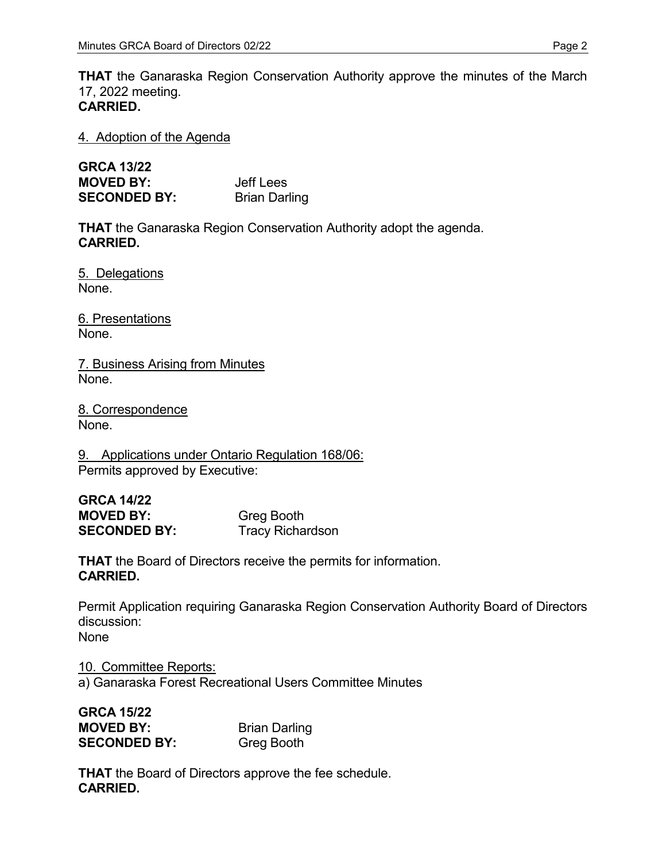**THAT** the Ganaraska Region Conservation Authority approve the minutes of the March 17, 2022 meeting. **CARRIED.**

4. Adoption of the Agenda

| <b>GRCA 13/22</b>   |                      |
|---------------------|----------------------|
| <b>MOVED BY:</b>    | Jeff Lees            |
| <b>SECONDED BY:</b> | <b>Brian Darling</b> |

**THAT** the Ganaraska Region Conservation Authority adopt the agenda. **CARRIED.**

5. Delegations None.

6. Presentations None.

7. Business Arising from Minutes None.

8. Correspondence None.

9. Applications under Ontario Regulation 168/06: Permits approved by Executive:

| GRCA 14/22          |                         |
|---------------------|-------------------------|
| <b>MOVED BY:</b>    | <b>Greg Booth</b>       |
| <b>SECONDED BY:</b> | <b>Tracy Richardson</b> |

**THAT** the Board of Directors receive the permits for information. **CARRIED.**

Permit Application requiring Ganaraska Region Conservation Authority Board of Directors discussion: None

10. Committee Reports: a) Ganaraska Forest Recreational Users Committee Minutes

| <b>GRCA 15/22</b>   |                      |
|---------------------|----------------------|
| <b>MOVED BY:</b>    | <b>Brian Darling</b> |
| <b>SECONDED BY:</b> | <b>Greg Booth</b>    |

**THAT** the Board of Directors approve the fee schedule. **CARRIED.**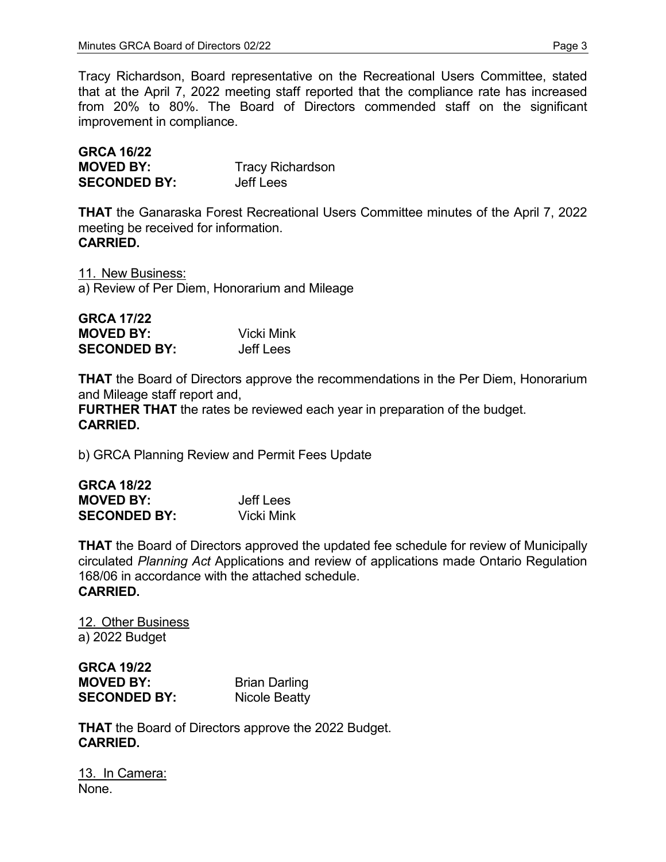Tracy Richardson, Board representative on the Recreational Users Committee, stated that at the April 7, 2022 meeting staff reported that the compliance rate has increased from 20% to 80%. The Board of Directors commended staff on the significant improvement in compliance.

| <b>GRCA 16/22</b>   |                         |
|---------------------|-------------------------|
| <b>MOVED BY:</b>    | <b>Tracy Richardson</b> |
| <b>SECONDED BY:</b> | Jeff Lees               |

**THAT** the Ganaraska Forest Recreational Users Committee minutes of the April 7, 2022 meeting be received for information. **CARRIED.**

11. New Business: a) Review of Per Diem, Honorarium and Mileage

| <b>GRCA 17/22</b>   |                   |
|---------------------|-------------------|
| <b>MOVED BY:</b>    | <b>Vicki Mink</b> |
| <b>SECONDED BY:</b> | Jeff Lees         |

**THAT** the Board of Directors approve the recommendations in the Per Diem, Honorarium and Mileage staff report and,

**FURTHER THAT** the rates be reviewed each year in preparation of the budget. **CARRIED.**

b) GRCA Planning Review and Permit Fees Update

| <b>GRCA 18/22</b>   |            |
|---------------------|------------|
| <b>MOVED BY:</b>    | Jeff Lees  |
| <b>SECONDED BY:</b> | Vicki Mink |

**THAT** the Board of Directors approved the updated fee schedule for review of Municipally circulated *Planning Act* Applications and review of applications made Ontario Regulation 168/06 in accordance with the attached schedule. **CARRIED.**

12. Other Business a) 2022 Budget

| <b>GRCA 19/22</b>   |                      |
|---------------------|----------------------|
| <b>MOVED BY:</b>    | <b>Brian Darling</b> |
| <b>SECONDED BY:</b> | Nicole Beatty        |

**THAT** the Board of Directors approve the 2022 Budget. **CARRIED.**

13. In Camera: None.